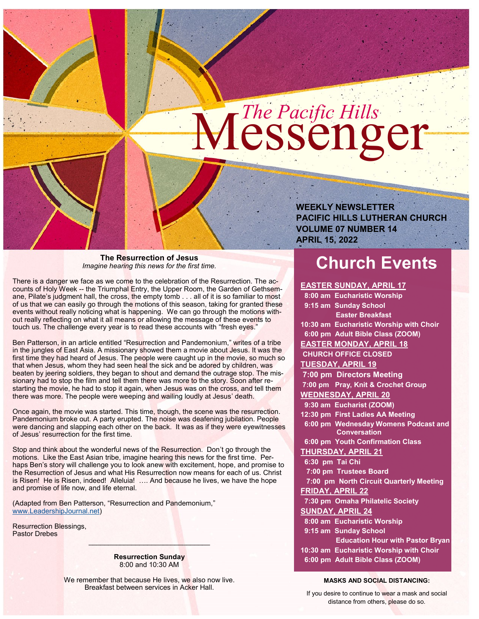# Messenger *The Pacific Hills*

**The Resurrection of Jesus** *Imagine hearing this news for the first time.*

There is a danger we face as we come to the celebration of the Resurrection. The accounts of Holy Week -- the Triumphal Entry, the Upper Room, the Garden of Gethsemane, Pilate's judgment hall, the cross, the empty tomb . . . all of it is so familiar to most of us that we can easily go through the motions of this season, taking for granted these events without really noticing what is happening. We can go through the motions without really reflecting on what it all means or allowing the message of these events to touch us. The challenge every year is to read these accounts with "fresh eyes."

Ben Patterson, in an article entitled "Resurrection and Pandemonium," writes of a tribe in the jungles of East Asia. A missionary showed them a movie about Jesus. It was the first time they had heard of Jesus. The people were caught up in the movie, so much so that when Jesus, whom they had seen heal the sick and be adored by children, was beaten by jeering soldiers, they began to shout and demand the outrage stop. The missionary had to stop the film and tell them there was more to the story. Soon after restarting the movie, he had to stop it again, when Jesus was on the cross, and tell them there was more. The people were weeping and wailing loudly at Jesus' death.

Once again, the movie was started. This time, though, the scene was the resurrection. Pandemonium broke out. A party erupted. The noise was deafening jubilation. People were dancing and slapping each other on the back. It was as if they were eyewitnesses of Jesus' resurrection for the first time.

Stop and think about the wonderful news of the Resurrection. Don't go through the motions. Like the East Asian tribe, imagine hearing this news for the first time. Perhaps Ben's story will challenge you to look anew with excitement, hope, and promise to the Resurrection of Jesus and what His Resurrection now means for each of us. Christ is Risen! He is Risen, indeed! Alleluia! .... And because he lives, we have the hope and promise of life now, and life eternal.

(Adapted from Ben Patterson, "Resurrection and Pandemonium," [www.LeadershipJournal.net\)](http://www.LeadershipJournal.net)

Resurrection Blessings, Pastor Drebes

> **Resurrection Sunday** 8:00 and 10:30 AM

 $\Box$  . The set of  $\Box$  and  $\Box$  and  $\Box$  and  $\Box$ 

We remember that because He lives, we also now live. Breakfast between services in Acker Hall.

**PACIFIC HILLS LUTHERAN CHURCH VOLUME 07 NUMBER 14 APRIL 15, 2022**

# **Church Events**

**EASTER SUNDAY, APRIL 17 8:00 am Eucharistic Worship**

 **9:15 am Sunday School**

**WEEKLY NEWSLETTER** 

 **Easter Breakfast 10:30 am Eucharistic Worship with Choir 6:00 pm Adult Bible Class (ZOOM) EASTER MONDAY, APRIL 18 CHURCH OFFICE CLOSED TUESDAY, APRIL 19 7:00 pm Directors Meeting 7:00 pm Pray, Knit & Crochet Group WEDNESDAY, APRIL 20 9:30 am Eucharist (ZOOM) 12:30 pm First Ladies AA Meeting 6:00 pm Wednesday Womens Podcast and Conversation 6:00 pm Youth Confirmation Class THURSDAY, APRIL 21 6:30 pm Tai Chi 7:00 pm Trustees Board 7:00 pm North Circuit Quarterly Meeting FRIDAY, APRIL 22 7:30 pm Omaha Philatelic Society SUNDAY, APRIL 24 8:00 am Eucharistic Worship 9:15 am Sunday School Education Hour with Pastor Bryan 10:30 am Eucharistic Worship with Choir**

 **6:00 pm Adult Bible Class (ZOOM)**

#### **MASKS AND SOCIAL DISTANCING:**

If you desire to continue to wear a mask and social distance from others, please do so.